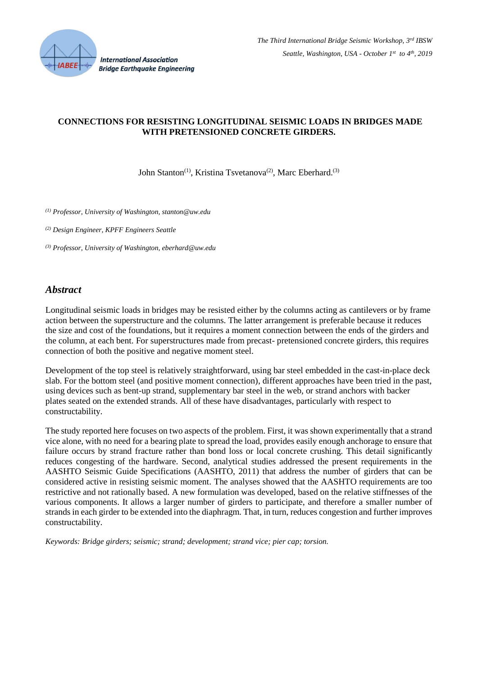

## **CONNECTIONS FOR RESISTING LONGITUDINAL SEISMIC LOADS IN BRIDGES MADE WITH PRETENSIONED CONCRETE GIRDERS.**

John Stanton<sup>(1)</sup>, Kristina Tsvetanova<sup>(2)</sup>, Marc Eberhard.<sup>(3)</sup>

*(1) Professor, University of Washington, stanton@uw.edu*

*(2) Design Engineer, KPFF Engineers Seattle*

*(3) Professor, University of Washington, eberhard@uw.edu*

## *Abstract*

Longitudinal seismic loads in bridges may be resisted either by the columns acting as cantilevers or by frame action between the superstructure and the columns. The latter arrangement is preferable because it reduces the size and cost of the foundations, but it requires a moment connection between the ends of the girders and the column, at each bent. For superstructures made from precast- pretensioned concrete girders, this requires connection of both the positive and negative moment steel.

Development of the top steel is relatively straightforward, using bar steel embedded in the cast-in-place deck slab. For the bottom steel (and positive moment connection), different approaches have been tried in the past, using devices such as bent-up strand, supplementary bar steel in the web, or strand anchors with backer plates seated on the extended strands. All of these have disadvantages, particularly with respect to constructability.

The study reported here focuses on two aspects of the problem. First, it was shown experimentally that a strand vice alone, with no need for a bearing plate to spread the load, provides easily enough anchorage to ensure that failure occurs by strand fracture rather than bond loss or local concrete crushing. This detail significantly reduces congesting of the hardware. Second, analytical studies addressed the present requirements in the AASHTO Seismic Guide Specifications (AASHTO, 2011) that address the number of girders that can be considered active in resisting seismic moment. The analyses showed that the AASHTO requirements are too restrictive and not rationally based. A new formulation was developed, based on the relative stiffnesses of the various components. It allows a larger number of girders to participate, and therefore a smaller number of strands in each girder to be extended into the diaphragm. That, in turn, reduces congestion and further improves constructability.

*Keywords: Bridge girders; seismic; strand; development; strand vice; pier cap; torsion.*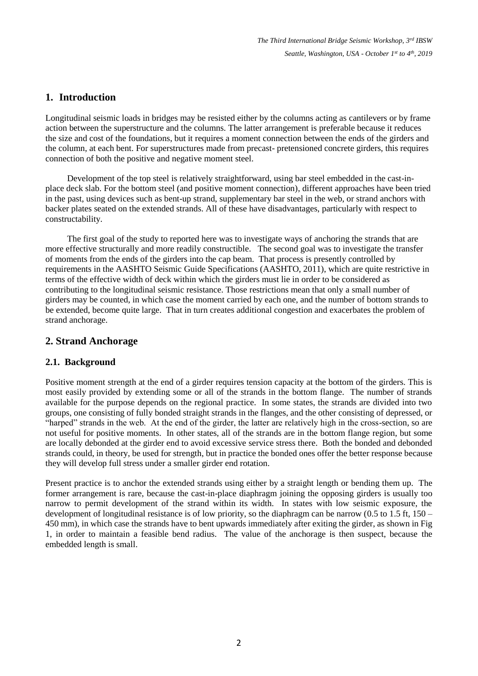# **1. Introduction**

Longitudinal seismic loads in bridges may be resisted either by the columns acting as cantilevers or by frame action between the superstructure and the columns. The latter arrangement is preferable because it reduces the size and cost of the foundations, but it requires a moment connection between the ends of the girders and the column, at each bent. For superstructures made from precast- pretensioned concrete girders, this requires connection of both the positive and negative moment steel.

Development of the top steel is relatively straightforward, using bar steel embedded in the cast-inplace deck slab. For the bottom steel (and positive moment connection), different approaches have been tried in the past, using devices such as bent-up strand, supplementary bar steel in the web, or strand anchors with backer plates seated on the extended strands. All of these have disadvantages, particularly with respect to constructability.

The first goal of the study to reported here was to investigate ways of anchoring the strands that are more effective structurally and more readily constructible. The second goal was to investigate the transfer of moments from the ends of the girders into the cap beam. That process is presently controlled by requirements in the AASHTO Seismic Guide Specifications (AASHTO, 2011), which are quite restrictive in terms of the effective width of deck within which the girders must lie in order to be considered as contributing to the longitudinal seismic resistance. Those restrictions mean that only a small number of girders may be counted, in which case the moment carried by each one, and the number of bottom strands to be extended, become quite large. That in turn creates additional congestion and exacerbates the problem of strand anchorage.

## **2. Strand Anchorage**

## **2.1. Background**

Positive moment strength at the end of a girder requires tension capacity at the bottom of the girders. This is most easily provided by extending some or all of the strands in the bottom flange. The number of strands available for the purpose depends on the regional practice. In some states, the strands are divided into two groups, one consisting of fully bonded straight strands in the flanges, and the other consisting of depressed, or "harped" strands in the web. At the end of the girder, the latter are relatively high in the cross-section, so are not useful for positive moments. In other states, all of the strands are in the bottom flange region, but some are locally debonded at the girder end to avoid excessive service stress there. Both the bonded and debonded strands could, in theory, be used for strength, but in practice the bonded ones offer the better response because they will develop full stress under a smaller girder end rotation.

Present practice is to anchor the extended strands using either by a straight length or bending them up. The former arrangement is rare, because the cast-in-place diaphragm joining the opposing girders is usually too narrow to permit development of the strand within its width. In states with low seismic exposure, the development of longitudinal resistance is of low priority, so the diaphragm can be narrow (0.5 to 1.5 ft, 150 – 450 mm), in which case the strands have to bent upwards immediately after exiting the girder, as shown in Fig 1, in order to maintain a feasible bend radius. The value of the anchorage is then suspect, because the embedded length is small.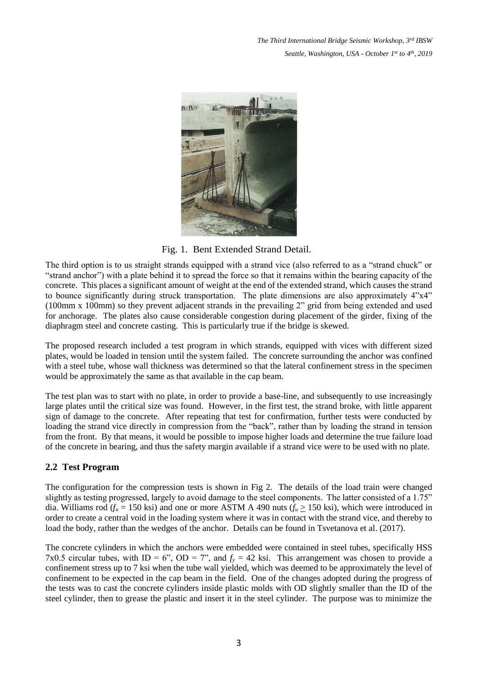

Fig. 1. Bent Extended Strand Detail.

The third option is to us straight strands equipped with a strand vice (also referred to as a "strand chuck" or "strand anchor") with a plate behind it to spread the force so that it remains within the bearing capacity of the concrete. This places a significant amount of weight at the end of the extended strand, which causes the strand to bounce significantly during struck transportation. The plate dimensions are also approximately 4"x4" (100mm x 100mm) so they prevent adjacent strands in the prevailing 2" grid from being extended and used for anchorage. The plates also cause considerable congestion during placement of the girder, fixing of the diaphragm steel and concrete casting. This is particularly true if the bridge is skewed.

The proposed research included a test program in which strands, equipped with vices with different sized plates, would be loaded in tension until the system failed. The concrete surrounding the anchor was confined with a steel tube, whose wall thickness was determined so that the lateral confinement stress in the specimen would be approximately the same as that available in the cap beam.

The test plan was to start with no plate, in order to provide a base-line, and subsequently to use increasingly large plates until the critical size was found. However, in the first test, the strand broke, with little apparent sign of damage to the concrete. After repeating that test for confirmation, further tests were conducted by loading the strand vice directly in compression from the "back", rather than by loading the strand in tension from the front. By that means, it would be possible to impose higher loads and determine the true failure load of the concrete in bearing, and thus the safety margin available if a strand vice were to be used with no plate.

#### **2.2 Test Program**

The configuration for the compression tests is shown in Fig 2. The details of the load train were changed slightly as testing progressed, largely to avoid damage to the steel components. The latter consisted of a 1.75" dia. Williams rod ( $f_u$  = 150 ksi) and one or more ASTM A 490 nuts ( $f_u$   $\geq$  150 ksi), which were introduced in order to create a central void in the loading system where it was in contact with the strand vice, and thereby to load the body, rather than the wedges of the anchor. Details can be found in Tsvetanova et al. (2017).

The concrete cylinders in which the anchors were embedded were contained in steel tubes, specifically HSS 7x0.5 circular tubes, with ID = 6", OD = 7", and  $f_y$  = 42 ksi. This arrangement was chosen to provide a confinement stress up to 7 ksi when the tube wall yielded, which was deemed to be approximately the level of confinement to be expected in the cap beam in the field. One of the changes adopted during the progress of the tests was to cast the concrete cylinders inside plastic molds with OD slightly smaller than the ID of the steel cylinder, then to grease the plastic and insert it in the steel cylinder. The purpose was to minimize the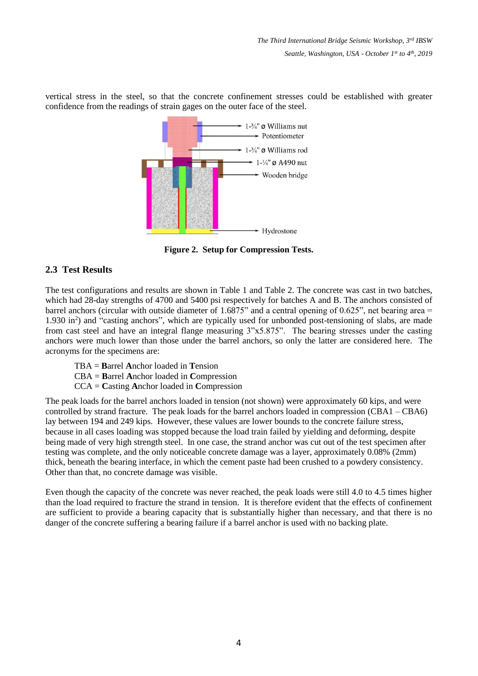vertical stress in the steel, so that the concrete confinement stresses could be established with greater confidence from the readings of strain gages on the outer face of the steel.



**Figure 2. Setup for Compression Tests.**

# **2.3 Test Results**

The test configurations and results are shown in Table 1 and Table 2. The concrete was cast in two batches, which had 28-day strengths of 4700 and 5400 psi respectively for batches A and B. The anchors consisted of barrel anchors (circular with outside diameter of 1.6875" and a central opening of 0.625", net bearing area = 1.930 in<sup>2</sup>) and "casting anchors", which are typically used for unbonded post-tensioning of slabs, are made from cast steel and have an integral flange measuring 3"x5.875". The bearing stresses under the casting anchors were much lower than those under the barrel anchors, so only the latter are considered here. The acronyms for the specimens are:

- TBA = **B**arrel **A**nchor loaded in **T**ension
- CBA = **B**arrel **A**nchor loaded in **C**ompression
- CCA = **C**asting **A**nchor loaded in **C**ompression

The peak loads for the barrel anchors loaded in tension (not shown) were approximately 60 kips, and were controlled by strand fracture. The peak loads for the barrel anchors loaded in compression (CBA1 – CBA6) lay between 194 and 249 kips. However, these values are lower bounds to the concrete failure stress, because in all cases loading was stopped because the load train failed by yielding and deforming, despite being made of very high strength steel. In one case, the strand anchor was cut out of the test specimen after testing was complete, and the only noticeable concrete damage was a layer, approximately 0.08% (2mm) thick, beneath the bearing interface, in which the cement paste had been crushed to a powdery consistency. Other than that, no concrete damage was visible.

Even though the capacity of the concrete was never reached, the peak loads were still 4.0 to 4.5 times higher than the load required to fracture the strand in tension. It is therefore evident that the effects of confinement are sufficient to provide a bearing capacity that is substantially higher than necessary, and that there is no danger of the concrete suffering a bearing failure if a barrel anchor is used with no backing plate.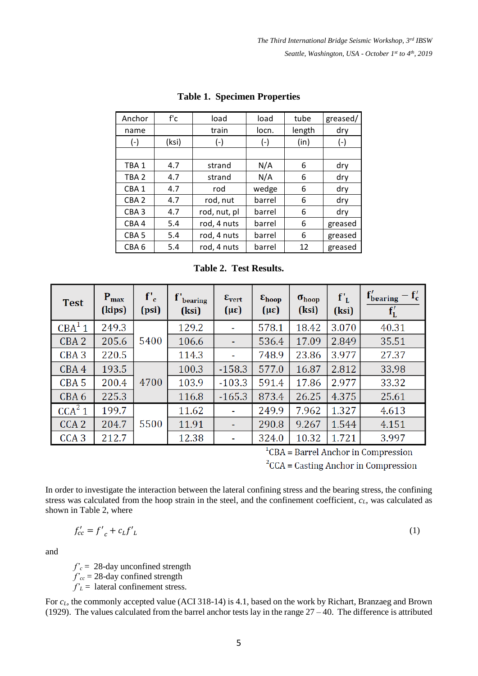| Anchor           | f'c   | load                     | load        | tube | greased/ |
|------------------|-------|--------------------------|-------------|------|----------|
| name             |       | length<br>train<br>locn. |             | dry  |          |
| $(-)$            | (ksi) | $(-)$                    | $(-)$       | (in) | $(-)$    |
|                  |       |                          |             |      |          |
| TBA <sub>1</sub> | 4.7   | strand                   | N/A<br>6    |      | dry      |
| TBA <sub>2</sub> | 4.7   | strand                   | N/A<br>6    |      | dry      |
| CBA <sub>1</sub> | 4.7   | rod                      | wedge<br>6  |      | dry      |
| CBA <sub>2</sub> | 4.7   | rod, nut                 | barrel<br>6 |      | dry      |
| CBA <sub>3</sub> | 4.7   | rod, nut, pl             | barrel<br>6 |      | dry      |
| CBA4             | 5.4   | rod, 4 nuts              | barrel<br>6 |      | greased  |
| CBA <sub>5</sub> | 5.4   | rod, 4 nuts              | barrel<br>6 |      | greased  |
| CBA <sub>6</sub> | 5.4   | rod, 4 nuts              | barrel      | 12   | greased  |

## **Table 1. Specimen Properties**

**Table 2. Test Results.**

| <b>Test</b>        | $P_{\text{max}}$<br>(kips) | $f'_c$<br>(psi) | $f'_{\text{learning}}$<br>(ksi) | $\epsilon_{\rm vert}$<br>$(\mu \varepsilon)$ | $\epsilon_{\text{hoop}}$<br>$(\mu \varepsilon)$ | $\sigma_{\text{hoop}}$<br>(ksi) | $f'_L$<br>(ksi) | $f'_{\text{bearing}} - f'_{\text{c}}$<br>$f_L'$ |
|--------------------|----------------------------|-----------------|---------------------------------|----------------------------------------------|-------------------------------------------------|---------------------------------|-----------------|-------------------------------------------------|
| CBA <sup>1</sup> 1 | 249.3                      | 5400            | 129.2                           |                                              | 578.1                                           | 18.42                           | 3.070           | 40.31                                           |
| CBA <sub>2</sub>   | 205.6                      |                 | 106.6                           | ٠                                            | 536.4                                           | 17.09                           | 2.849           | 35.51                                           |
| CBA <sub>3</sub>   | 220.5                      |                 | 114.3                           | ۰                                            | 748.9                                           | 23.86                           | 3.977           | 27.37                                           |
| CBA4               | 193.5                      | 4700            | 100.3                           | $-158.3$                                     | 577.0                                           | 16.87                           | 2.812           | 33.98                                           |
| CBA <sub>5</sub>   | 200.4                      |                 | 103.9                           | $-103.3$                                     | 591.4                                           | 17.86                           | 2.977           | 33.32                                           |
| CBA <sub>6</sub>   | 225.3                      |                 | 116.8                           | $-165.3$                                     | 873.4                                           | 26.25                           | 4.375           | 25.61                                           |
| $CCA^2$ 1          | 199.7                      | 5500            | 11.62                           | $\blacksquare$                               | 249.9                                           | 7.962                           | 1.327           | 4.613                                           |
| CCA <sub>2</sub>   | 204.7                      |                 | 11.91                           | $\overline{\phantom{a}}$                     | 290.8                                           | 9.267                           | 1.544           | 4.151                                           |
| CCA <sub>3</sub>   | 212.7                      |                 | 12.38                           | ٠                                            | 324.0                                           | 10.32                           | 1.721           | 3.997                                           |

 ${}^{1}$ CBA = Barrel Anchor in Compression

 ${}^{2}$ CCA = Casting Anchor in Compression

In order to investigate the interaction between the lateral confining stress and the bearing stress, the confining stress was calculated from the hoop strain in the steel, and the confinement coefficient, *cL*, was calculated as shown in Table 2, where

$$
f'_{cc} = f'_{c} + c_L f'_{L}
$$

and

 $f'_{c}$  = 28-day unconfined strength *f'cc* = 28-day confined strength

 $f'_L$  = lateral confinement stress.

For  $c<sub>L</sub>$ , the commonly accepted value (ACI 318-14) is 4.1, based on the work by Richart, Branzaeg and Brown (1929). The values calculated from the barrel anchor tests lay in the range  $27 - 40$ . The difference is attributed

(1)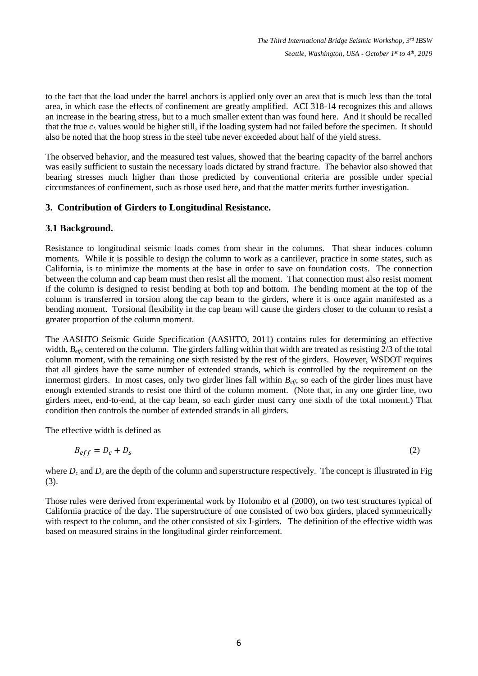to the fact that the load under the barrel anchors is applied only over an area that is much less than the total area, in which case the effects of confinement are greatly amplified. ACI 318-14 recognizes this and allows an increase in the bearing stress, but to a much smaller extent than was found here. And it should be recalled that the true *c<sup>L</sup>* values would be higher still, if the loading system had not failed before the specimen. It should also be noted that the hoop stress in the steel tube never exceeded about half of the yield stress.

The observed behavior, and the measured test values, showed that the bearing capacity of the barrel anchors was easily sufficient to sustain the necessary loads dictated by strand fracture. The behavior also showed that bearing stresses much higher than those predicted by conventional criteria are possible under special circumstances of confinement, such as those used here, and that the matter merits further investigation.

# **3. Contribution of Girders to Longitudinal Resistance.**

# **3.1 Background.**

Resistance to longitudinal seismic loads comes from shear in the columns. That shear induces column moments. While it is possible to design the column to work as a cantilever, practice in some states, such as California, is to minimize the moments at the base in order to save on foundation costs. The connection between the column and cap beam must then resist all the moment. That connection must also resist moment if the column is designed to resist bending at both top and bottom. The bending moment at the top of the column is transferred in torsion along the cap beam to the girders, where it is once again manifested as a bending moment. Torsional flexibility in the cap beam will cause the girders closer to the column to resist a greater proportion of the column moment.

The AASHTO Seismic Guide Specification (AASHTO, 2011) contains rules for determining an effective width,  $B_{\text{eff}}$ , centered on the column. The girders falling within that width are treated as resisting 2/3 of the total column moment, with the remaining one sixth resisted by the rest of the girders. However, WSDOT requires that all girders have the same number of extended strands, which is controlled by the requirement on the innermost girders. In most cases, only two girder lines fall within *Beff*, so each of the girder lines must have enough extended strands to resist one third of the column moment. (Note that, in any one girder line, two girders meet, end-to-end, at the cap beam, so each girder must carry one sixth of the total moment.) That condition then controls the number of extended strands in all girders.

The effective width is defined as

$$
B_{eff} = D_c + D_s \tag{2}
$$

where  $D_c$  and  $D_s$  are the depth of the column and superstructure respectively. The concept is illustrated in Fig (3).

Those rules were derived from experimental work by Holombo et al (2000), on two test structures typical of California practice of the day. The superstructure of one consisted of two box girders, placed symmetrically with respect to the column, and the other consisted of six I-girders. The definition of the effective width was based on measured strains in the longitudinal girder reinforcement.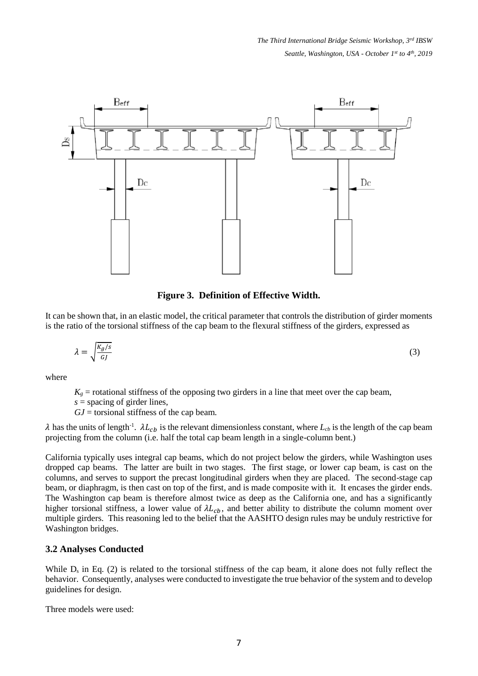

**Figure 3. Definition of Effective Width.**

It can be shown that, in an elastic model, the critical parameter that controls the distribution of girder moments is the ratio of the torsional stiffness of the cap beam to the flexural stiffness of the girders, expressed as

$$
\lambda = \sqrt{\frac{\kappa_g/s}{G}}
$$
 (3)

where

 $K<sub>g</sub>$  = rotational stiffness of the opposing two girders in a line that meet over the cap beam,

*s* = spacing of girder lines,

 $GJ$  = torsional stiffness of the cap beam.

 $\lambda$  has the units of length<sup>-1</sup>.  $\lambda L_{cb}$  is the relevant dimensionless constant, where  $L_{cb}$  is the length of the cap beam projecting from the column (i.e. half the total cap beam length in a single-column bent.)

California typically uses integral cap beams, which do not project below the girders, while Washington uses dropped cap beams. The latter are built in two stages. The first stage, or lower cap beam, is cast on the columns, and serves to support the precast longitudinal girders when they are placed. The second-stage cap beam, or diaphragm, is then cast on top of the first, and is made composite with it. It encases the girder ends. The Washington cap beam is therefore almost twice as deep as the California one, and has a significantly higher torsional stiffness, a lower value of  $\lambda L_{cb}$ , and better ability to distribute the column moment over multiple girders. This reasoning led to the belief that the AASHTO design rules may be unduly restrictive for Washington bridges.

#### **3.2 Analyses Conducted**

While  $D_s$  in Eq. (2) is related to the torsional stiffness of the cap beam, it alone does not fully reflect the behavior. Consequently, analyses were conducted to investigate the true behavior of the system and to develop guidelines for design.

Three models were used: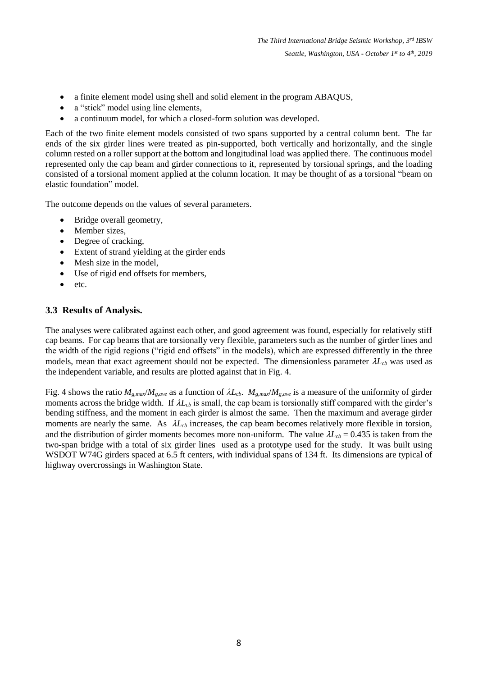- a finite element model using shell and solid element in the program ABAQUS,
- a "stick" model using line elements,
- a continuum model, for which a closed-form solution was developed.

Each of the two finite element models consisted of two spans supported by a central column bent. The far ends of the six girder lines were treated as pin-supported, both vertically and horizontally, and the single column rested on a roller support at the bottom and longitudinal load was applied there. The continuous model represented only the cap beam and girder connections to it, represented by torsional springs, and the loading consisted of a torsional moment applied at the column location. It may be thought of as a torsional "beam on elastic foundation" model.

The outcome depends on the values of several parameters.

- Bridge overall geometry,
- Member sizes,
- Degree of cracking,
- Extent of strand yielding at the girder ends
- Mesh size in the model,
- Use of rigid end offsets for members,
- etc.

# **3.3 Results of Analysis.**

The analyses were calibrated against each other, and good agreement was found, especially for relatively stiff cap beams. For cap beams that are torsionally very flexible, parameters such as the number of girder lines and the width of the rigid regions ("rigid end offsets" in the models), which are expressed differently in the three models, mean that exact agreement should not be expected. The dimensionless parameter  $\lambda L_{cb}$  was used as the independent variable, and results are plotted against that in Fig. 4.

Fig. 4 shows the ratio  $M_{g,max}/M_{g,ave}$  as a function of  $\lambda L_{cb}$ .  $M_{g,max}/M_{g,ave}$  is a measure of the uniformity of girder moments across the bridge width. If  $\lambda L_{cb}$  is small, the cap beam is torsionally stiff compared with the girder's bending stiffness, and the moment in each girder is almost the same. Then the maximum and average girder moments are nearly the same. As  $\lambda L_{cb}$  increases, the cap beam becomes relatively more flexible in torsion, and the distribution of girder moments becomes more non-uniform. The value  $\lambda L_{cb} = 0.435$  is taken from the two-span bridge with a total of six girder lines used as a prototype used for the study. It was built using WSDOT W74G girders spaced at 6.5 ft centers, with individual spans of 134 ft. Its dimensions are typical of highway overcrossings in Washington State.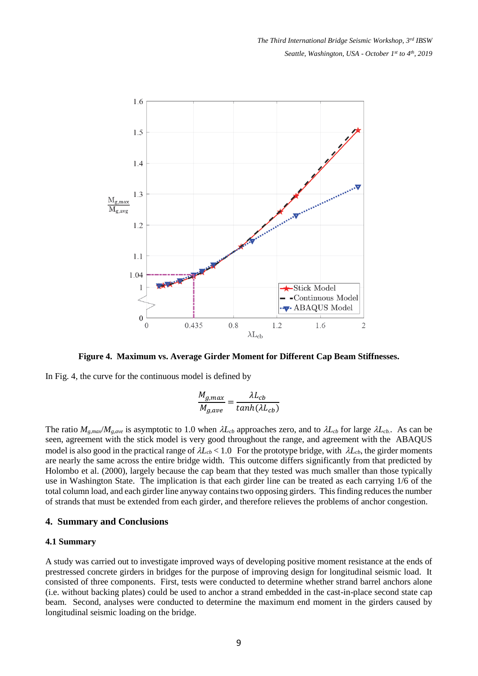

**Figure 4. Maximum vs. Average Girder Moment for Different Cap Beam Stiffnesses.**

In Fig. 4, the curve for the continuous model is defined by

$$
\frac{M_{g,max}}{M_{g,ave}} = \frac{\lambda L_{cb}}{\tanh(\lambda L_{cb})}
$$

The ratio  $M_{g,max}/M_{g,ave}$  is asymptotic to 1.0 when  $\lambda L_{cb}$  approaches zero, and to  $\lambda L_{cb}$  for large  $\lambda L_{cb}$ . As can be seen, agreement with the stick model is very good throughout the range, and agreement with the ABAQUS model is also good in the practical range of  $\lambda L_{cb}$  < 1.0 For the prototype bridge, with  $\lambda L_{cb}$ , the girder moments are nearly the same across the entire bridge width. This outcome differs significantly from that predicted by Holombo et al. (2000), largely because the cap beam that they tested was much smaller than those typically use in Washington State. The implication is that each girder line can be treated as each carrying 1/6 of the total column load, and each girder line anyway contains two opposing girders. This finding reduces the number of strands that must be extended from each girder, and therefore relieves the problems of anchor congestion.

#### **4. Summary and Conclusions**

#### **4.1 Summary**

A study was carried out to investigate improved ways of developing positive moment resistance at the ends of prestressed concrete girders in bridges for the purpose of improving design for longitudinal seismic load. It consisted of three components. First, tests were conducted to determine whether strand barrel anchors alone (i.e. without backing plates) could be used to anchor a strand embedded in the cast-in-place second state cap beam. Second, analyses were conducted to determine the maximum end moment in the girders caused by longitudinal seismic loading on the bridge.